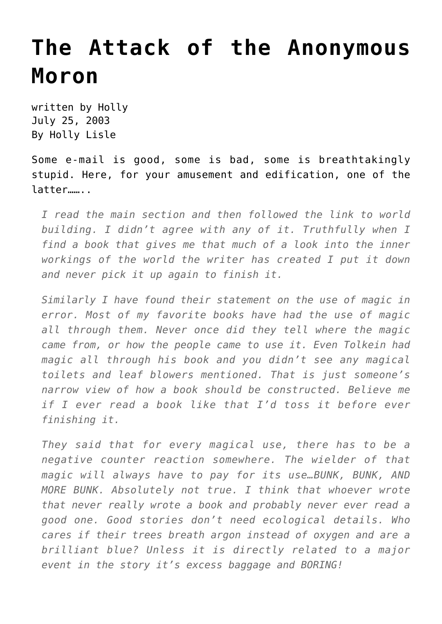## **[The Attack of the Anonymous](https://hollylisle.com/the-attack-of-the-anonymous-moron/) [Moron](https://hollylisle.com/the-attack-of-the-anonymous-moron/)**

written by Holly July 25, 2003 [By Holly Lisle](https://hollylisle.com)

Some e-mail is good, some is bad, some is breathtakingly stupid. Here, for your amusement and edification, one of the latter……..

*I read the main section and then followed the link to world building. I didn't agree with any of it. Truthfully when I find a book that gives me that much of a look into the inner workings of the world the writer has created I put it down and never pick it up again to finish it.*

*Similarly I have found their statement on the use of magic in error. Most of my favorite books have had the use of magic all through them. Never once did they tell where the magic came from, or how the people came to use it. Even Tolkein had magic all through his book and you didn't see any magical toilets and leaf blowers mentioned. That is just someone's narrow view of how a book should be constructed. Believe me if I ever read a book like that I'd toss it before ever finishing it.*

*They said that for every magical use, there has to be a negative counter reaction somewhere. The wielder of that magic will always have to pay for its use…BUNK, BUNK, AND MORE BUNK. Absolutely not true. I think that whoever wrote that never really wrote a book and probably never ever read a good one. Good stories don't need ecological details. Who cares if their trees breath argon instead of oxygen and are a brilliant blue? Unless it is directly related to a major event in the story it's excess baggage and BORING!*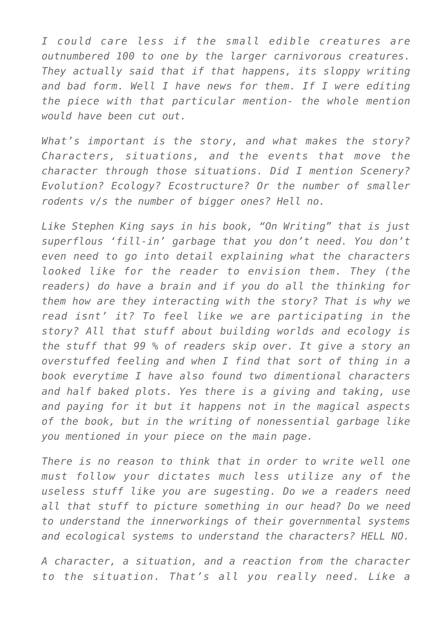*I could care less if the small edible creatures are outnumbered 100 to one by the larger carnivorous creatures. They actually said that if that happens, its sloppy writing and bad form. Well I have news for them. If I were editing the piece with that particular mention- the whole mention would have been cut out.*

*What's important is the story, and what makes the story? Characters, situations, and the events that move the character through those situations. Did I mention Scenery? Evolution? Ecology? Ecostructure? Or the number of smaller rodents v/s the number of bigger ones? Hell no.*

*Like Stephen King says in his book, "On Writing" that is just superflous 'fill-in' garbage that you don't need. You don't even need to go into detail explaining what the characters looked like for the reader to envision them. They (the readers) do have a brain and if you do all the thinking for them how are they interacting with the story? That is why we read isnt' it? To feel like we are participating in the story? All that stuff about building worlds and ecology is the stuff that 99 % of readers skip over. It give a story an overstuffed feeling and when I find that sort of thing in a book everytime I have also found two dimentional characters and half baked plots. Yes there is a giving and taking, use and paying for it but it happens not in the magical aspects of the book, but in the writing of nonessential garbage like you mentioned in your piece on the main page.*

*There is no reason to think that in order to write well one must follow your dictates much less utilize any of the useless stuff like you are sugesting. Do we a readers need all that stuff to picture something in our head? Do we need to understand the innerworkings of their governmental systems and ecological systems to understand the characters? HELL NO.*

*A character, a situation, and a reaction from the character to the situation. That's all you really need. Like a*